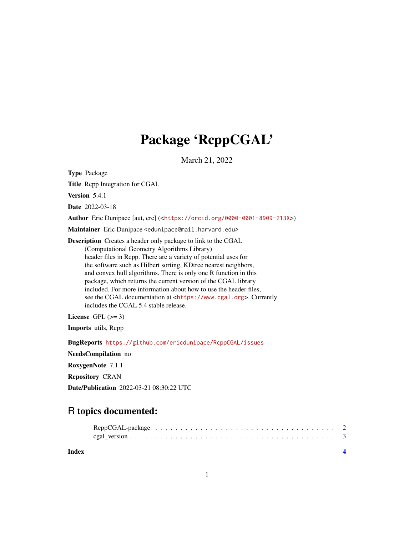## Package 'RcppCGAL'

March 21, 2022

Type Package Title Rcpp Integration for CGAL Version 5.4.1 Date 2022-03-18 Author Eric Dunipace [aut, cre] (<<https://orcid.org/0000-0001-8909-213X>>) Maintainer Eric Dunipace <edunipace@mail.harvard.edu> Description Creates a header only package to link to the CGAL (Computational Geometry Algorithms Library) header files in Rcpp. There are a variety of potential uses for the software such as Hilbert sorting, KDtree nearest neighbors, and convex hull algorithms. There is only one R function in this package, which returns the current version of the CGAL library included. For more information about how to use the header files, see the CGAL documentation at <<https://www.cgal.org>>. Currently includes the CGAL 5.4 stable release. License GPL  $(>= 3)$ 

Imports utils, Rcpp

BugReports <https://github.com/ericdunipace/RcppCGAL/issues>

NeedsCompilation no

RoxygenNote 7.1.1

Repository CRAN

Date/Publication 2022-03-21 08:30:22 UTC

## R topics documented:

**Index** [4](#page-3-0)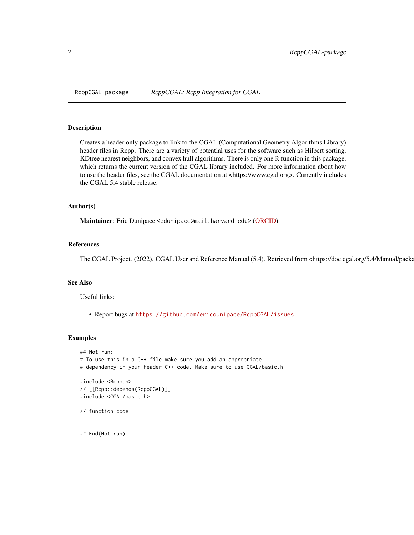<span id="page-1-0"></span>

#### Description

Creates a header only package to link to the CGAL (Computational Geometry Algorithms Library) header files in Rcpp. There are a variety of potential uses for the software such as Hilbert sorting, KDtree nearest neighbors, and convex hull algorithms. There is only one R function in this package, which returns the current version of the CGAL library included. For more information about how to use the header files, see the CGAL documentation at <https://www.cgal.org>. Currently includes the CGAL 5.4 stable release.

#### Author(s)

Maintainer: Eric Dunipace <edunipace@mail.harvard.edu> [\(ORCID\)](https://orcid.org/0000-0001-8909-213X)

#### References

The CGAL Project. (2022). CGAL User and Reference Manual (5.4). Retrieved from <https://doc.cgal.org/5.4/Manual/packa

#### See Also

Useful links:

## End(Not run)

• Report bugs at <https://github.com/ericdunipace/RcppCGAL/issues>

#### Examples

```
## Not run:
# To use this in a C++ file make sure you add an appropriate
# dependency in your header C++ code. Make sure to use CGAL/basic.h
#include <Rcpp.h>
// [[Rcpp::depends(RcppCGAL)]]
#include <CGAL/basic.h>
// function code
```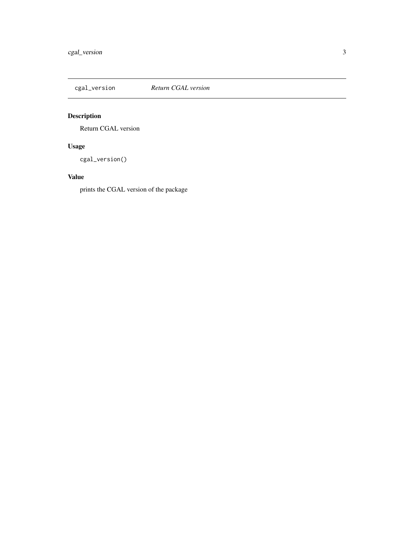<span id="page-2-0"></span>

## Description

Return CGAL version

## Usage

cgal\_version()

#### Value

prints the CGAL version of the package